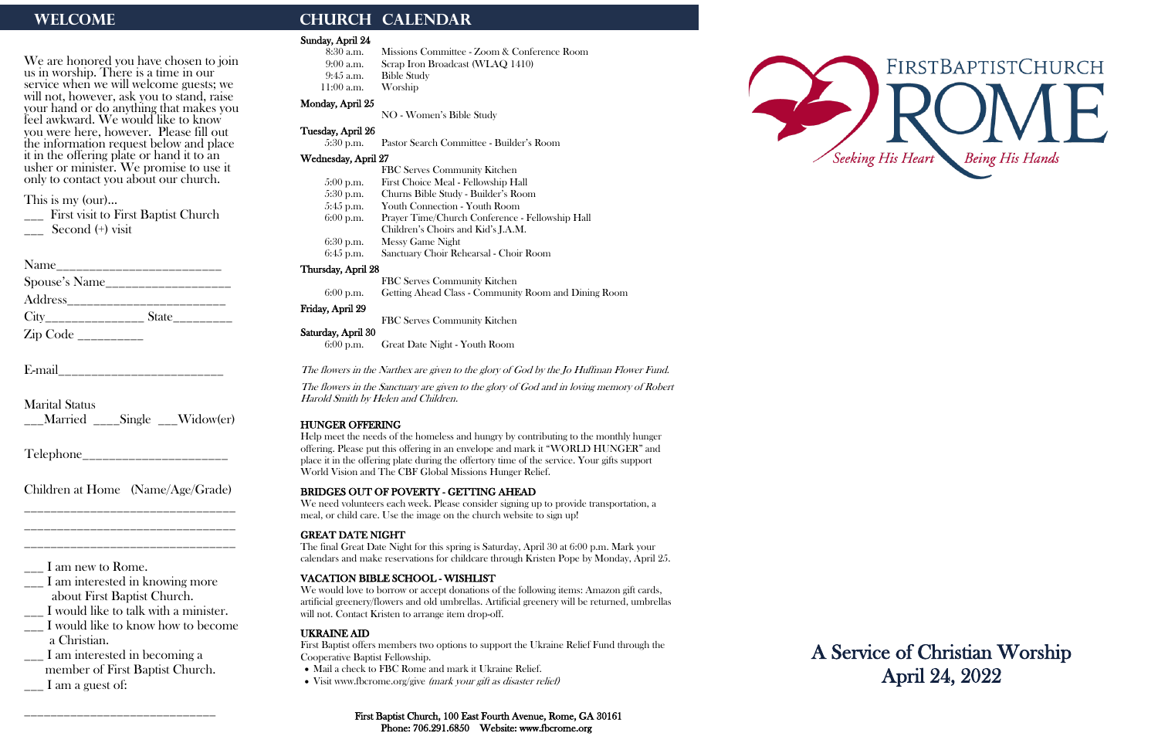We are honored you have chosen to join us in worship. There is a time in our service when we will welcome guests; we will not, however, ask you to stand, raise your hand or do anything that makes you feel awkward. We would like to know you were here, however. Please fill out the information request below and place it in the offering plate or hand it to an usher or minister. We promise to use it only to contact you about our church.

\_\_\_ First visit to First Baptist Church Second (+) visit

| Name                       |                               |
|----------------------------|-------------------------------|
| Spouse's Name              |                               |
| Address <sub>_______</sub> |                               |
|                            | $State$ <sub>__________</sub> |
|                            |                               |

This is my (our)…

- \_\_\_ I would like to know how to become a Christian.
- \_\_\_ I am interested in becoming a member of First Baptist Church.  $\Box$  I am a guest of:

E-mail\_\_\_\_\_\_\_\_\_\_\_\_\_\_\_\_\_\_\_\_\_\_\_\_\_

Marital Status \_\_\_Married \_\_\_\_Single \_\_\_Widow(er)

Telephone\_\_\_\_\_\_\_\_\_\_\_\_\_\_\_\_\_\_\_\_\_\_

Children at Home (Name/Age/Grade) \_\_\_\_\_\_\_\_\_\_\_\_\_\_\_\_\_\_\_\_\_\_\_\_\_\_\_\_\_\_\_\_

\_\_\_\_\_\_\_\_\_\_\_\_\_\_\_\_\_\_\_\_\_\_\_\_\_\_\_\_\_\_\_\_ \_\_\_\_\_\_\_\_\_\_\_\_\_\_\_\_\_\_\_\_\_\_\_\_\_\_\_\_\_\_\_\_

\_\_\_ I am new to Rome.

\_\_\_ I am interested in knowing more about First Baptist Church.

\_\_\_ I would like to talk with a minister.

\_\_\_\_\_\_\_\_\_\_\_\_\_\_\_\_\_\_\_\_\_\_\_\_\_\_\_\_\_

# WELCOME **CHURCH CALENDAR**

#### Sunday, April 24

- 8:30 a.m. Missions Committee Zoom & Conference Room
- 9:00 a.m. Scrap Iron Broadcast (WLAQ 1410)
- 9:45 a.m. Bible Study 11:00 a.m. Worship
- Monday, April 25
	- NO Women's Bible Study

## Tuesday, April 26

5:30 p.m. Pastor Search Committee - Builder's Room

#### Wednesday, April 27

| FBC Serves Community Kitchen                    |
|-------------------------------------------------|
| First Choice Meal - Fellowship Hall             |
| Churns Bible Study - Builder's Room             |
| Youth Connection - Youth Room                   |
| Prayer Time/Church Conference - Fellowship Hall |
| Children's Choirs and Kid's J.A.M.              |
| <b>Messy Game Night</b>                         |
| Sanctuary Choir Rehearsal - Choir Room          |
|                                                 |

### Thursday, April 28

FBC Serves Community Kitchen 6:00 p.m. Getting Ahead Class - Community Room and Dining Room

### Friday, April 29

FBC Serves Community Kitchen

## Saturday, April 30

6:00 p.m. Great Date Night - Youth Room

The flowers in the Narthex are given to the glory of God by the Jo Huffman Flower Fund.

The flowers in the Sanctuary are given to the glory of God and in loving memory of Robert Harold Smith by Helen and Children.

## HUNGER OFFERING

Help meet the needs of the homeless and hungry by contributing to the monthly hunger offering. Please put this offering in an envelope and mark it "WORLD HUNGER" and place it in the offering plate during the offertory time of the service. Your gifts support World Vision and The CBF Global Missions Hunger Relief.

## BRIDGES OUT OF POVERTY - GETTING AHEAD

We need volunteers each week. Please consider signing up to provide transportation, a meal, or child care. Use the image on the church website to sign up!

## GREAT DATE NIGHT

The final Great Date Night for this spring is Saturday, April 30 at 6:00 p.m. Mark your calendars and make reservations for childcare through Kristen Pope by Monday, April 25.

## VACATION BIBLE SCHOOL - WISHLIST

We would love to borrow or accept donations of the following items: Amazon gift cards, artificial greenery/flowers and old umbrellas. Artificial greenery will be returned, umbrellas will not. Contact Kristen to arrange item drop-off.

## UKRAINE AID

First Baptist offers members two options to support the Ukraine Relief Fund through the Cooperative Baptist Fellowship.

- Mail a check to FBC Rome and mark it Ukraine Relief.
- Visit www.fbcrome.org/give (mark your gift as disaster relief)





A Service of Christian Worship April 24, 2022